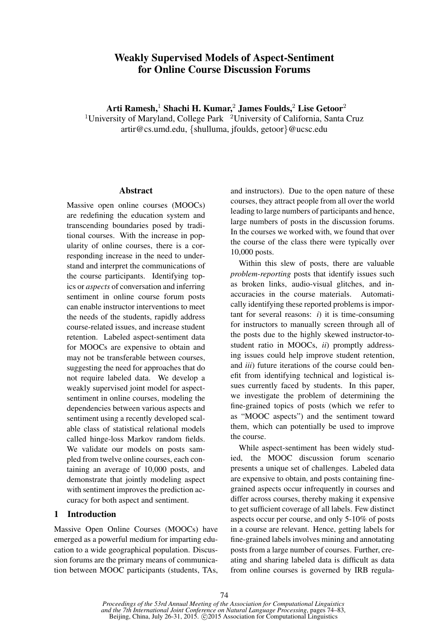# Weakly Supervised Models of Aspect-Sentiment for Online Course Discussion Forums

Arti Ramesh,<sup>1</sup> Shachi H. Kumar,<sup>2</sup> James Foulds,<sup>2</sup> Lise Getoor<sup>2</sup>

<sup>1</sup>University of Maryland, College Park  $\mathrm{^{2}University}$  of California, Santa Cruz artir@cs.umd.edu, {shulluma, jfoulds, getoor}@ucsc.edu

### Abstract

Massive open online courses (MOOCs) are redefining the education system and transcending boundaries posed by traditional courses. With the increase in popularity of online courses, there is a corresponding increase in the need to understand and interpret the communications of the course participants. Identifying topics or *aspects* of conversation and inferring sentiment in online course forum posts can enable instructor interventions to meet the needs of the students, rapidly address course-related issues, and increase student retention. Labeled aspect-sentiment data for MOOCs are expensive to obtain and may not be transferable between courses, suggesting the need for approaches that do not require labeled data. We develop a weakly supervised joint model for aspectsentiment in online courses, modeling the dependencies between various aspects and sentiment using a recently developed scalable class of statistical relational models called hinge-loss Markov random fields. We validate our models on posts sampled from twelve online courses, each containing an average of 10,000 posts, and demonstrate that jointly modeling aspect with sentiment improves the prediction accuracy for both aspect and sentiment.

## 1 Introduction

Massive Open Online Courses (MOOCs) have emerged as a powerful medium for imparting education to a wide geographical population. Discussion forums are the primary means of communication between MOOC participants (students, TAs, and instructors). Due to the open nature of these courses, they attract people from all over the world leading to large numbers of participants and hence, large numbers of posts in the discussion forums. In the courses we worked with, we found that over the course of the class there were typically over 10,000 posts.

Within this slew of posts, there are valuable *problem-reporting* posts that identify issues such as broken links, audio-visual glitches, and inaccuracies in the course materials. Automatically identifying these reported problems is important for several reasons:  $i$ ) it is time-consuming for instructors to manually screen through all of the posts due to the highly skewed instructor-tostudent ratio in MOOCs, *ii*) promptly addressing issues could help improve student retention, and *iii*) future iterations of the course could benefit from identifying technical and logistical issues currently faced by students. In this paper, we investigate the problem of determining the fine-grained topics of posts (which we refer to as "MOOC aspects") and the sentiment toward them, which can potentially be used to improve the course.

While aspect-sentiment has been widely studied, the MOOC discussion forum scenario presents a unique set of challenges. Labeled data are expensive to obtain, and posts containing finegrained aspects occur infrequently in courses and differ across courses, thereby making it expensive to get sufficient coverage of all labels. Few distinct aspects occur per course, and only 5-10% of posts in a course are relevant. Hence, getting labels for fine-grained labels involves mining and annotating posts from a large number of courses. Further, creating and sharing labeled data is difficult as data from online courses is governed by IRB regula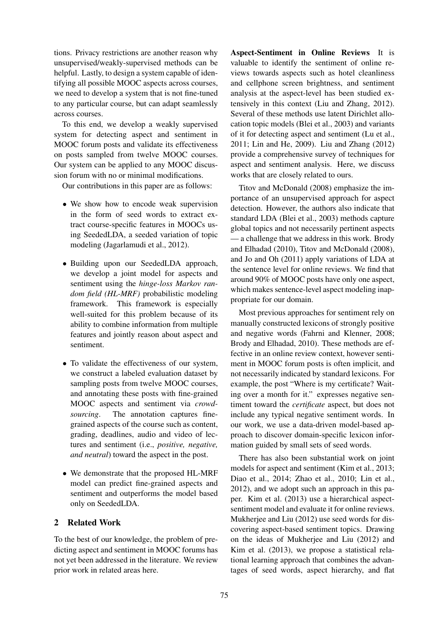tions. Privacy restrictions are another reason why unsupervised/weakly-supervised methods can be helpful. Lastly, to design a system capable of identifying all possible MOOC aspects across courses, we need to develop a system that is not fine-tuned to any particular course, but can adapt seamlessly across courses.

To this end, we develop a weakly supervised system for detecting aspect and sentiment in MOOC forum posts and validate its effectiveness on posts sampled from twelve MOOC courses. Our system can be applied to any MOOC discussion forum with no or minimal modifications.

Our contributions in this paper are as follows:

- We show how to encode weak supervision in the form of seed words to extract extract course-specific features in MOOCs using SeededLDA, a seeded variation of topic modeling (Jagarlamudi et al., 2012).
- Building upon our SeededLDA approach, we develop a joint model for aspects and sentiment using the *hinge-loss Markov random field (HL-MRF)* probabilistic modeling framework. This framework is especially well-suited for this problem because of its ability to combine information from multiple features and jointly reason about aspect and sentiment.
- To validate the effectiveness of our system, we construct a labeled evaluation dataset by sampling posts from twelve MOOC courses, and annotating these posts with fine-grained MOOC aspects and sentiment via *crowdsourcing*. The annotation captures finegrained aspects of the course such as content, grading, deadlines, audio and video of lectures and sentiment (i.e., *positive, negative, and neutral*) toward the aspect in the post.
- We demonstrate that the proposed HL-MRF model can predict fine-grained aspects and sentiment and outperforms the model based only on SeededLDA.

### 2 Related Work

To the best of our knowledge, the problem of predicting aspect and sentiment in MOOC forums has not yet been addressed in the literature. We review prior work in related areas here.

Aspect-Sentiment in Online Reviews It is valuable to identify the sentiment of online reviews towards aspects such as hotel cleanliness and cellphone screen brightness, and sentiment analysis at the aspect-level has been studied extensively in this context (Liu and Zhang, 2012). Several of these methods use latent Dirichlet allocation topic models (Blei et al., 2003) and variants of it for detecting aspect and sentiment (Lu et al., 2011; Lin and He, 2009). Liu and Zhang (2012) provide a comprehensive survey of techniques for aspect and sentiment analysis. Here, we discuss works that are closely related to ours.

Titov and McDonald (2008) emphasize the importance of an unsupervised approach for aspect detection. However, the authors also indicate that standard LDA (Blei et al., 2003) methods capture global topics and not necessarily pertinent aspects — a challenge that we address in this work. Brody and Elhadad (2010), Titov and McDonald (2008), and Jo and Oh (2011) apply variations of LDA at the sentence level for online reviews. We find that around 90% of MOOC posts have only one aspect, which makes sentence-level aspect modeling inappropriate for our domain.

Most previous approaches for sentiment rely on manually constructed lexicons of strongly positive and negative words (Fahrni and Klenner, 2008; Brody and Elhadad, 2010). These methods are effective in an online review context, however sentiment in MOOC forum posts is often implicit, and not necessarily indicated by standard lexicons. For example, the post "Where is my certificate? Waiting over a month for it." expresses negative sentiment toward the *certificate* aspect, but does not include any typical negative sentiment words. In our work, we use a data-driven model-based approach to discover domain-specific lexicon information guided by small sets of seed words.

There has also been substantial work on joint models for aspect and sentiment (Kim et al., 2013; Diao et al., 2014; Zhao et al., 2010; Lin et al., 2012), and we adopt such an approach in this paper. Kim et al. (2013) use a hierarchical aspectsentiment model and evaluate it for online reviews. Mukherjee and Liu (2012) use seed words for discovering aspect-based sentiment topics. Drawing on the ideas of Mukherjee and Liu (2012) and Kim et al. (2013), we propose a statistical relational learning approach that combines the advantages of seed words, aspect hierarchy, and flat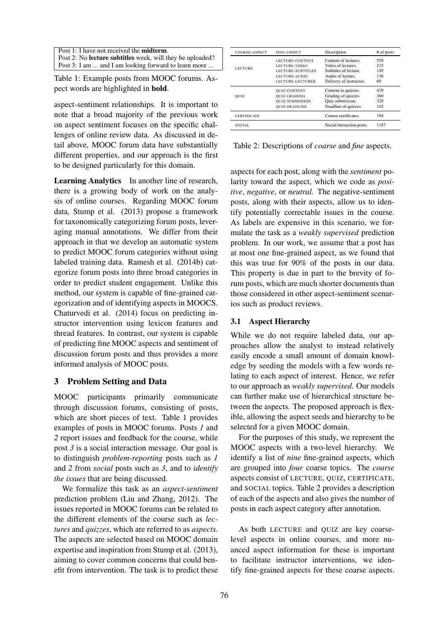| Post 1: I have not received the <b>midterm</b> .                 |
|------------------------------------------------------------------|
| Post 2: No <b>lecture subtitles</b> week, will they be uploaded? |
| Post 3: I am  and I am looking forward to learn more             |

Table 1: Example posts from MOOC forums. Aspect words are highlighted in bold.

aspect-sentiment relationships. It is important to note that a broad majority of the previous work on aspect sentiment focuses on the specific challenges of online review data. As discussed in detail above, MOOC forum data have substantially different properties, and our approach is the first to be designed particularly for this domain.

Learning Analytics In another line of research, there is a growing body of work on the analysis of online courses. Regarding MOOC forum data, Stump et al. (2013) propose a framework for taxonomically categorizing forum posts, leveraging manual annotations. We differ from their approach in that we develop an automatic system to predict MOOC forum categories without using labeled training data. Ramesh et al. (2014b) categorize forum posts into three broad categories in order to predict student engagement. Unlike this method, our system is capable of fine-grained categorization and of identifying aspects in MOOCS. Chaturvedi et al. (2014) focus on predicting instructor intervention using lexicon features and thread features. In contrast, our system is capable of predicting fine MOOC aspects and sentiment of discussion forum posts and thus provides a more informed analysis of MOOC posts.

### 3 Problem Setting and Data

MOOC participants primarily communicate through discussion forums, consisting of posts, which are short pieces of text. Table 1 provides examples of posts in MOOC forums. Posts *1* and *2* report issues and feedback for the course, while post *3* is a social interaction message. Our goal is to distinguish *problem-reporting* posts such as *1* and *2* from *social* posts such as *3*, and to *identify the issues* that are being discussed.

We formalize this task as an *aspect-sentiment* prediction problem (Liu and Zhang, 2012). The issues reported in MOOC forums can be related to the different elements of the course such as *lectures* and *quizzes*, which are referred to as *aspects*. The aspects are selected based on MOOC domain expertise and inspiration from Stump et al. (2013), aiming to cover common concerns that could benefit from intervention. The task is to predict these

| COARSE-ASPECT      | <b>FINE-ASPECT</b>     | Description               | # of posts |
|--------------------|------------------------|---------------------------|------------|
|                    | <b>LECTURE-CONTENT</b> | Content of lectures.      | 559        |
| <b>LECTURE</b>     | <b>LECTURE-VIDEO</b>   | Video of lectures.        | 215        |
|                    | LECTURE-SUBTITLES      | Subtitles of lecture.     | 149        |
|                    | LECTURE-AUDIO          | Audio of lecture.         | 136        |
|                    | LECTURE-LECTURER       | Delivery of instructor.   | 69         |
|                    | QUIZ-CONTENT           | Content in quizzes.       | 439        |
| <b>QUIZ</b>        | QUIZ-GRADING           | Grading of quizzes.       | 360        |
|                    | QUIZ-SUBMISSION        | Quiz submission.          | 329        |
|                    | <b>OUIZ-DEADLINE</b>   | Deadline of quizzes.      | 142        |
| <b>CERTIFICATE</b> |                        | Course certificates.      | 194        |
| SOCIAL.            |                        | Social interaction posts. | 1187       |

Table 2: Descriptions of *coarse* and *fine* aspects.

aspects for each post, along with the *sentiment* polarity toward the aspect, which we code as *positive*, *negative*, or *neutral*. The negative-sentiment posts, along with their aspects, allow us to identify potentially correctable issues in the course. As labels are expensive in this scenario, we formulate the task as a *weakly supervised* prediction problem. In our work, we assume that a post has at most one fine-grained aspect, as we found that this was true for 90% of the posts in our data. This property is due in part to the brevity of forum posts, which are much shorter documents than those considered in other aspect-sentiment scenarios such as product reviews.

### 3.1 Aspect Hierarchy

While we do not require labeled data, our approaches allow the analyst to instead relatively easily encode a small amount of domain knowledge by seeding the models with a few words relating to each aspect of interest. Hence, we refer to our approach as *weakly supervised*. Our models can further make use of hierarchical structure between the aspects. The proposed approach is flexible, allowing the aspect seeds and hierarchy to be selected for a given MOOC domain.

For the purposes of this study, we represent the MOOC aspects with a two-level hierarchy. We identify a list of *nine* fine-grained aspects, which are grouped into *four* coarse topics. The *coarse* aspects consist of LECTURE, QUIZ, CERTIFICATE, and SOCIAL topics. Table 2 provides a description of each of the aspects and also gives the number of posts in each aspect category after annotation.

As both LECTURE and QUIZ are key coarselevel aspects in online courses, and more nuanced aspect information for these is important to facilitate instructor interventions, we identify fine-grained aspects for these coarse aspects.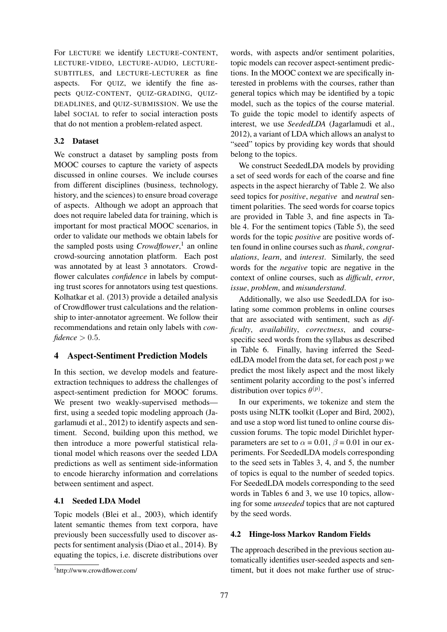For LECTURE we identify LECTURE-CONTENT, LECTURE-VIDEO, LECTURE-AUDIO, LECTURE-SUBTITLES, and LECTURE-LECTURER as fine aspects. For QUIZ, we identify the fine aspects QUIZ-CONTENT, QUIZ-GRADING, QUIZ-DEADLINES, and QUIZ-SUBMISSION. We use the label SOCIAL to refer to social interaction posts that do not mention a problem-related aspect.

### 3.2 Dataset

We construct a dataset by sampling posts from MOOC courses to capture the variety of aspects discussed in online courses. We include courses from different disciplines (business, technology, history, and the sciences) to ensure broad coverage of aspects. Although we adopt an approach that does not require labeled data for training, which is important for most practical MOOC scenarios, in order to validate our methods we obtain labels for the sampled posts using *Crowdflower*, 1 an online crowd-sourcing annotation platform. Each post was annotated by at least 3 annotators. Crowdflower calculates *confidence* in labels by computing trust scores for annotators using test questions. Kolhatkar et al. (2013) provide a detailed analysis of Crowdflower trust calculations and the relationship to inter-annotator agreement. We follow their recommendations and retain only labels with *con* $f$ *idence*  $> 0.5$ .

### 4 Aspect-Sentiment Prediction Models

In this section, we develop models and featureextraction techniques to address the challenges of aspect-sentiment prediction for MOOC forums. We present two weakly-supervised methods first, using a seeded topic modeling approach (Jagarlamudi et al., 2012) to identify aspects and sentiment. Second, building upon this method, we then introduce a more powerful statistical relational model which reasons over the seeded LDA predictions as well as sentiment side-information to encode hierarchy information and correlations between sentiment and aspect.

### 4.1 Seeded LDA Model

Topic models (Blei et al., 2003), which identify latent semantic themes from text corpora, have previously been successfully used to discover aspects for sentiment analysis (Diao et al., 2014). By equating the topics, i.e. discrete distributions over

words, with aspects and/or sentiment polarities, topic models can recover aspect-sentiment predictions. In the MOOC context we are specifically interested in problems with the courses, rather than general topics which may be identified by a topic model, such as the topics of the course material. To guide the topic model to identify aspects of interest, we use *SeededLDA* (Jagarlamudi et al., 2012), a variant of LDA which allows an analyst to "seed" topics by providing key words that should belong to the topics.

We construct SeededLDA models by providing a set of seed words for each of the coarse and fine aspects in the aspect hierarchy of Table 2. We also seed topics for *positive*, *negative* and *neutral* sentiment polarities. The seed words for coarse topics are provided in Table 3, and fine aspects in Table 4. For the sentiment topics (Table 5), the seed words for the topic *positive* are positive words often found in online courses such as *thank*, *congratulations*, *learn*, and *interest*. Similarly, the seed words for the *negative* topic are negative in the context of online courses, such as *difficult*, *error*, *issue*, *problem*, and *misunderstand*.

Additionally, we also use SeededLDA for isolating some common problems in online courses that are associated with sentiment, such as *difficulty*, *availability*, *correctness*, and coursespecific seed words from the syllabus as described in Table 6. Finally, having inferred the SeededLDA model from the data set, for each post  $p$  we predict the most likely aspect and the most likely sentiment polarity according to the post's inferred distribution over topics  $\theta^{(p)}$ .

In our experiments, we tokenize and stem the posts using NLTK toolkit (Loper and Bird, 2002), and use a stop word list tuned to online course discussion forums. The topic model Dirichlet hyperparameters are set to  $\alpha = 0.01$ ,  $\beta = 0.01$  in our experiments. For SeededLDA models corresponding to the seed sets in Tables 3, 4, and 5, the number of topics is equal to the number of seeded topics. For SeededLDA models corresponding to the seed words in Tables 6 and 3, we use 10 topics, allowing for some *unseeded* topics that are not captured by the seed words.

### 4.2 Hinge-loss Markov Random Fields

The approach described in the previous section automatically identifies user-seeded aspects and sentiment, but it does not make further use of struc-

<sup>1</sup> http://www.crowdflower.com/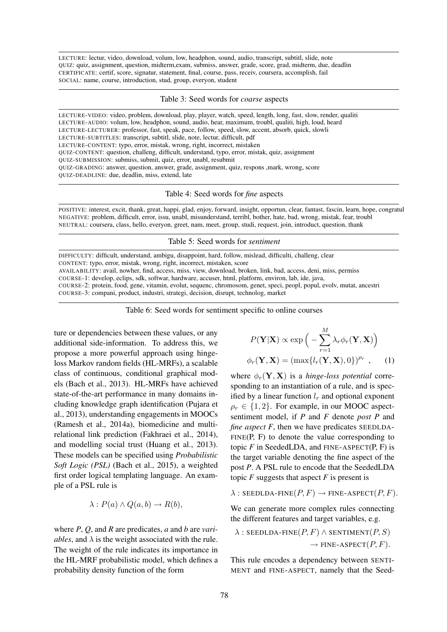LECTURE: lectur, video, download, volum, low, headphon, sound, audio, transcript, subtitl, slide, note QUIZ: quiz, assignment, question, midterm,exam, submiss, answer, grade, score, grad, midterm, due, deadlin CERTIFICATE: certif, score, signatur, statement, final, course, pass, receiv, coursera, accomplish, fail SOCIAL: name, course, introduction, stud, group, everyon, student

Table 3: Seed words for *coarse* aspects

LECTURE-VIDEO: video, problem, download, play, player, watch, speed, length, long, fast, slow, render, qualiti LECTURE-AUDIO: volum, low, headphon, sound, audio, hear, maximum, troubl, qualiti, high, loud, heard LECTURE-LECTURER: professor, fast, speak, pace, follow, speed, slow, accent, absorb, quick, slowli LECTURE-SUBTITLES: transcript, subtitl, slide, note, lectur, difficult, pdf LECTURE-CONTENT: typo, error, mistak, wrong, right, incorrect, mistaken QUIZ-CONTENT: question, challeng, difficult, understand, typo, error, mistak, quiz, assignment QUIZ-SUBMISSION: submiss, submit, quiz, error, unabl, resubmit QUIZ-GRADING: answer, question, answer, grade, assignment, quiz, respons ,mark, wrong, score QUIZ-DEADLINE: due, deadlin, miss, extend, late

Table 4: Seed words for *fine* aspects

POSITIVE: interest, excit, thank, great, happi, glad, enjoy, forward, insight, opportun, clear, fantast, fascin, learn, hope, congratul NEGATIVE: problem, difficult, error, issu, unabl, misunderstand, terribl, bother, hate, bad, wrong, mistak, fear, troubl NEUTRAL: coursera, class, hello, everyon, greet, nam, meet, group, studi, request, join, introduct, question, thank

#### Table 5: Seed words for *sentiment*

DIFFICULTY: difficult, understand, ambigu, disappoint, hard, follow, mislead, difficulti, challeng, clear CONTENT: typo, error, mistak, wrong, right, incorrect, mistaken, score

AVAILABILITY: avail, nowher, find, access, miss, view, download, broken, link, bad, access, deni, miss, permiss

COURSE-1: develop, eclips, sdk, softwar, hardware, accuser, html, platform, environ, lab, ide, java,

COURSE-2: protein, food, gene, vitamin, evolut, sequenc, chromosom, genet, speci, peopl, popul, evolv, mutat, ancestri COURSE-3: compani, product, industri, strategi, decision, disrupt, technolog, market

Table 6: Seed words for sentiment specific to online courses

ture or dependencies between these values, or any additional side-information. To address this, we propose a more powerful approach using hingeloss Markov random fields (HL-MRFs), a scalable class of continuous, conditional graphical models (Bach et al., 2013). HL-MRFs have achieved state-of-the-art performance in many domains including knowledge graph identification (Pujara et al., 2013), understanding engagements in MOOCs (Ramesh et al., 2014a), biomedicine and multirelational link prediction (Fakhraei et al., 2014), and modelling social trust (Huang et al., 2013). These models can be specified using *Probabilistic Soft Logic (PSL)* (Bach et al., 2015), a weighted first order logical templating language. An example of a PSL rule is

$$
\lambda: P(a) \wedge Q(a, b) \to R(b),
$$

where *P*, *Q*, and *R* are predicates, *a* and *b* are *variables*, and  $\lambda$  is the weight associated with the rule. The weight of the rule indicates its importance in the HL-MRF probabilistic model, which defines a probability density function of the form

$$
P(\mathbf{Y}|\mathbf{X}) \propto \exp\left(-\sum_{r=1}^{M} \lambda_r \phi_r(\mathbf{Y}, \mathbf{X})\right)
$$

$$
\phi_r(\mathbf{Y}, \mathbf{X}) = (\max\{l_r(\mathbf{Y}, \mathbf{X}), 0\})^{\rho_r}, \qquad (1)
$$

where  $\phi_r(\mathbf{Y}, \mathbf{X})$  is a *hinge-loss potential* corresponding to an instantiation of a rule, and is specified by a linear function  $l_r$  and optional exponent  $\rho_r \in \{1, 2\}$ . For example, in our MOOC aspectsentiment model, if *P* and *F* denote *post P* and *fine aspect*  $F$ , then we have predicates SEEDLDA- $FINE(P, F)$  to denote the value corresponding to topic  $F$  in SeededLDA, and FINE-ASPECT $(P, F)$  is the target variable denoting the fine aspect of the post *P*. A PSL rule to encode that the SeededLDA topic  $F$  suggests that aspect  $F$  is present is

$$
\lambda
$$
: SEEDLDA-FINE $(P, F)$   $\rightarrow$  FINE-ASPECT $(P, F)$ .

We can generate more complex rules connecting the different features and target variables, e.g.

$$
\lambda : \text{SEBDLDA-FINE}(P, F) \land \text{SENTIMENT}(P, S)
$$

$$
\rightarrow \text{FINE-ASPECT}(P, F).
$$

This rule encodes a dependency between SENTI-MENT and FINE-ASPECT, namely that the Seed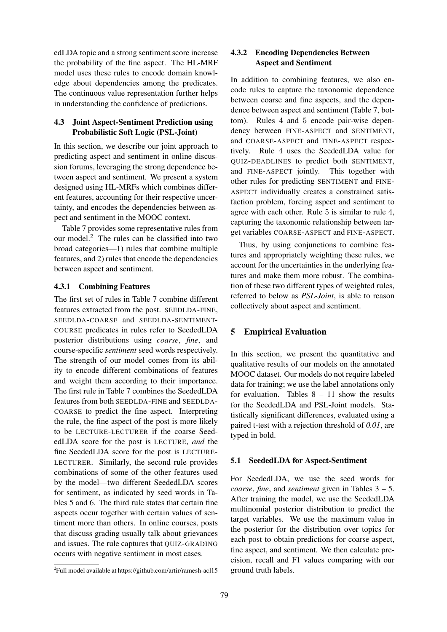edLDA topic and a strong sentiment score increase the probability of the fine aspect. The HL-MRF model uses these rules to encode domain knowledge about dependencies among the predicates. The continuous value representation further helps in understanding the confidence of predictions.

### 4.3 Joint Aspect-Sentiment Prediction using Probabilistic Soft Logic (PSL-Joint)

In this section, we describe our joint approach to predicting aspect and sentiment in online discussion forums, leveraging the strong dependence between aspect and sentiment. We present a system designed using HL-MRFs which combines different features, accounting for their respective uncertainty, and encodes the dependencies between aspect and sentiment in the MOOC context.

Table 7 provides some representative rules from our model. $<sup>2</sup>$  The rules can be classified into two</sup> broad categories—1) rules that combine multiple features, and 2) rules that encode the dependencies between aspect and sentiment.

### 4.3.1 Combining Features

The first set of rules in Table 7 combine different features extracted from the post. SEEDLDA-FINE, SEEDLDA-COARSE and SEEDLDA-SENTIMENT-COURSE predicates in rules refer to SeededLDA posterior distributions using *coarse*, *fine*, and course-specific *sentiment* seed words respectively. The strength of our model comes from its ability to encode different combinations of features and weight them according to their importance. The first rule in Table 7 combines the SeededLDA features from both SEEDLDA-FINE and SEEDLDA-COARSE to predict the fine aspect. Interpreting the rule, the fine aspect of the post is more likely to be LECTURE-LECTURER if the coarse SeededLDA score for the post is LECTURE, *and* the fine SeededLDA score for the post is LECTURE-LECTURER. Similarly, the second rule provides combinations of some of the other features used by the model—two different SeededLDA scores for sentiment, as indicated by seed words in Tables 5 and 6. The third rule states that certain fine aspects occur together with certain values of sentiment more than others. In online courses, posts that discuss grading usually talk about grievances and issues. The rule captures that QUIZ-GRADING occurs with negative sentiment in most cases.

## 4.3.2 Encoding Dependencies Between Aspect and Sentiment

In addition to combining features, we also encode rules to capture the taxonomic dependence between coarse and fine aspects, and the dependence between aspect and sentiment (Table 7, bottom). Rules 4 and 5 encode pair-wise dependency between FINE-ASPECT and SENTIMENT, and COARSE-ASPECT and FINE-ASPECT respectively. Rule 4 uses the SeededLDA value for QUIZ-DEADLINES to predict both SENTIMENT, and FINE-ASPECT jointly. This together with other rules for predicting SENTIMENT and FINE-ASPECT individually creates a constrained satisfaction problem, forcing aspect and sentiment to agree with each other. Rule 5 is similar to rule 4, capturing the taxonomic relationship between target variables COARSE-ASPECT and FINE-ASPECT.

Thus, by using conjunctions to combine features and appropriately weighting these rules, we account for the uncertainties in the underlying features and make them more robust. The combination of these two different types of weighted rules, referred to below as *PSL-Joint*, is able to reason collectively about aspect and sentiment.

### 5 Empirical Evaluation

In this section, we present the quantitative and qualitative results of our models on the annotated MOOC dataset. Our models do not require labeled data for training; we use the label annotations only for evaluation. Tables  $8 - 11$  show the results for the SeededLDA and PSL-Joint models. Statistically significant differences, evaluated using a paired t-test with a rejection threshold of *0.01*, are typed in bold.

#### 5.1 SeededLDA for Aspect-Sentiment

For SeededLDA, we use the seed words for *coarse*, *fine*, and *sentiment* given in Tables 3 – 5. After training the model, we use the SeededLDA multinomial posterior distribution to predict the target variables. We use the maximum value in the posterior for the distribution over topics for each post to obtain predictions for coarse aspect, fine aspect, and sentiment. We then calculate precision, recall and F1 values comparing with our ground truth labels.

<sup>2</sup> Full model available at https://github.com/artir/ramesh-acl15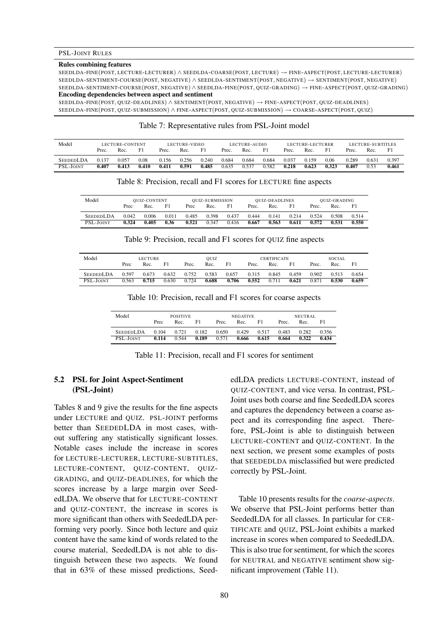#### Rules combining features

SEEDLDA-FINE(POST, LECTURE-LECTURER) ∧ SEEDLDA-COARSE(POST, LECTURE) → FINE-ASPECT(POST, LECTURE-LECTURER) SEEDLDA-SENTIMENT-COURSE(POST, NEGATIVE) ∧ SEEDLDA-SENTIMENT(POST, NEGATIVE) → SENTIMENT(POST, NEGATIVE) SEEDLDA-SENTIMENT-COURSE(POST, NEGATIVE) ∧ SEEDLDA-FINE(POST, QUIZ-GRADING) → FINE-ASPECT(POST, QUIZ-GRADING) Encoding dependencies between aspect and sentiment

SEEDLDA-FINE(POST, QUIZ-DEADLINES) ∧ SENTIMENT(POST, NEGATIVE) → FINE-ASPECT(POST, QUIZ-DEADLINES) SEEDLDA-FINE(POST, QUIZ-SUBMISSION) ∧ FINE-ASPECT(POST, QUIZ-SUBMISSION) → COARSE-ASPECT(POST, QUIZ)

#### Table 7: Representative rules from PSL-Joint model

| Model            |       | LECTURE-CONTENT |       |       | LECTURE-VIDEO |       |       | LECTURE-AUDIO |       |       | LECTURE-LECTURER |                |       | LECTURE-SUBTITLES |       |
|------------------|-------|-----------------|-------|-------|---------------|-------|-------|---------------|-------|-------|------------------|----------------|-------|-------------------|-------|
|                  | Prec. | Rec.            | F1    | Prec. | Rec.          | F1    | Prec. | Rec.          | F1    | Prec. | Rec.             | F <sub>1</sub> | Prec. | Rec.              | F1    |
| <b>SEEDEDLDA</b> | 0.137 | 0.057           | 0.08  | 0.156 | 0.256         | 0.240 | 0.684 | 0.684         | 0.684 | 0.037 | 0.159            | 0.06           | 0.289 | 0.631             | 0.397 |
| PSL-JOINT        | 0.407 | 0.413           | 0.410 | 0.411 | 0.591         | 0.485 | 0.635 | 0.537         | 0.582 | 0.218 | 0.623            | 0.323          | 0.407 | 0.53              | 0.461 |

Table 8: Precision, recall and F1 scores for LECTURE fine aspects

| Model            |       | <b>OUIZ-CONTENT</b> |       | QUIZ-SUBMISSION |       | QUIZ-DEADLINES |       |       | QUIZ-GRADING |       |       |       |
|------------------|-------|---------------------|-------|-----------------|-------|----------------|-------|-------|--------------|-------|-------|-------|
|                  | Prec  | Rec.                | F1    | Prec            | Rec.  | F1             | Prec. | Rec.  | F1           | Prec. | Rec.  | F1    |
| <b>SEEDEDLDA</b> | 0.042 | 0.006               | 0.011 | 0.485           | 0.398 | 0.437          | 0.444 | 0.141 | 0.214        | 0.524 | 0.508 | 0.514 |
| <b>PSL-JOINT</b> | 0.324 | 0.405               | 0.36  | 0.521           | 0.347 | 0.416          | 0.667 | 0.563 | 0.611        | 0.572 | 0.531 | 0.550 |

Table 9: Precision, recall and F1 scores for QUIZ fine aspects

| Model            | LECTURE |       |       | OUIZ  |       |       | <b>CERTIFICATE</b> |       |       | SOCIAL |       |       |
|------------------|---------|-------|-------|-------|-------|-------|--------------------|-------|-------|--------|-------|-------|
|                  | Prec    | Rec.  | F1    | Prec. | Rec.  | F1    | Prec.              | Rec.  | F1    | Prec.  | Rec.  | F1    |
| <b>SEEDEDLDA</b> | 0.597   | 0.673 | 0.632 | 0.752 | 0.583 | 0.657 | 0.315              | 0.845 | 0.459 | 0.902  | 0.513 | 0.654 |
| PSL-JOINT        | 0.563   | 0.715 | 0.630 | 0.724 | 0.688 | 0.706 | 0.552              | 0.711 | 0.621 | 0.871  | 0.530 | 0.659 |

| Model            | <b>POSITIVE</b> |       |       |       | <b>NEGATIVE</b> |       | NEUTRAL |       |       |
|------------------|-----------------|-------|-------|-------|-----------------|-------|---------|-------|-------|
|                  | Prec            | Rec.  | F1.   | Prec. | Rec.            | F1    | Prec.   | Rec.  | F1    |
| <b>SEEDEDLDA</b> | 0.104           | 0.721 | 0.182 | 0.650 | 0.429           | 0.517 | 0.483   | 0.282 | 0.356 |
| PSL-JOINT        | 0.114           | 0.544 | 0.189 | 0.571 | 0.666           | 0.615 | 0.664   | 0.322 | 0.434 |

Table 10: Precision, recall and F1 scores for coarse aspects

Table 11: Precision, recall and F1 scores for sentiment

## 5.2 PSL for Joint Aspect-Sentiment (PSL-Joint)

Tables 8 and 9 give the results for the fine aspects under LECTURE and QUIZ. PSL-JOINT performs better than SEEDEDLDA in most cases, without suffering any statistically significant losses. Notable cases include the increase in scores for LECTURE-LECTURER, LECTURE-SUBTITLES, LECTURE-CONTENT, QUIZ-CONTENT, QUIZ-GRADING, and QUIZ-DEADLINES, for which the scores increase by a large margin over SeededLDA. We observe that for LECTURE-CONTENT and QUIZ-CONTENT, the increase in scores is more significant than others with SeededLDA performing very poorly. Since both lecture and quiz content have the same kind of words related to the course material, SeededLDA is not able to distinguish between these two aspects. We found that in 63% of these missed predictions, SeededLDA predicts LECTURE-CONTENT, instead of QUIZ-CONTENT, and vice versa. In contrast, PSL-Joint uses both coarse and fine SeededLDA scores and captures the dependency between a coarse aspect and its corresponding fine aspect. Therefore, PSL-Joint is able to distinguish between LECTURE-CONTENT and QUIZ-CONTENT. In the next section, we present some examples of posts that SEEDEDLDA misclassified but were predicted correctly by PSL-Joint.

Table 10 presents results for the *coarse-aspects*. We observe that PSL-Joint performs better than SeededLDA for all classes. In particular for CER-TIFICATE and QUIZ, PSL-Joint exhibits a marked increase in scores when compared to SeededLDA. This is also true for sentiment, for which the scores for NEUTRAL and NEGATIVE sentiment show significant improvement (Table 11).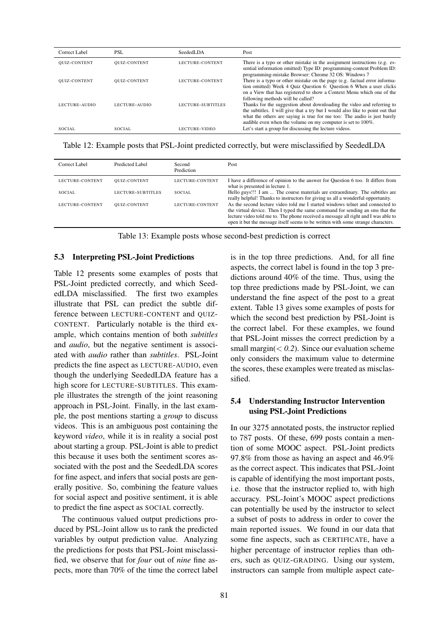| Correct Label       | PSL                 | SeededLDA         | Post                                                                                                                                                                                                                                                                                              |
|---------------------|---------------------|-------------------|---------------------------------------------------------------------------------------------------------------------------------------------------------------------------------------------------------------------------------------------------------------------------------------------------|
| <b>QUIZ-CONTENT</b> | <b>QUIZ-CONTENT</b> | LECTURE-CONTENT   | There is a typo or other mistake in the assignment instructions (e.g. es-<br>sential information omitted) Type ID: programming-content Problem ID:<br>programming-mistake Browser: Chrome 32 OS: Windows 7                                                                                        |
| <b>QUIZ-CONTENT</b> | <b>OUIZ-CONTENT</b> | LECTURE-CONTENT   | There is a typo or other mistake on the page (e.g. factual error informa-<br>tion omitted) Week 4 Quiz Question 6: Question 6 When a user clicks<br>on a View that has registered to show a Context Menu which one of the<br>following methods will be called?                                    |
| LECTURE-AUDIO       | LECTURE-AUDIO       | LECTURE-SUBTITLES | Thanks for the suggestion about downloading the video and referring to<br>the subtitles. I will give that a try but I would also like to point out that<br>what the others are saying is true for me too: The audio is just barely<br>audible even when the volume on my computer is set to 100%. |
| SOCIAL              | SOCIAL.             | LECTURE-VIDEO     | Let's start a group for discussing the lecture videos.                                                                                                                                                                                                                                            |

Table 12: Example posts that PSL-Joint predicted correctly, but were misclassified by SeededLDA

| Correct Label   | Predicted Label     | Second<br>Prediction | Post                                                                                                                                                                                                                                                                                                                                     |
|-----------------|---------------------|----------------------|------------------------------------------------------------------------------------------------------------------------------------------------------------------------------------------------------------------------------------------------------------------------------------------------------------------------------------------|
| LECTURE-CONTENT | <b>QUIZ-CONTENT</b> | LECTURE-CONTENT      | I have a difference of opinion to the answer for Question 6 too. It differs from<br>what is presented in lecture 1.                                                                                                                                                                                                                      |
| SOCIAL.         | LECTURE-SUBTITLES   | SOCIAL.              | Hello guys!!! I am  The course materials are extraordinary. The subtitles are<br>really helpful! Thanks to instructors for giving us all a wonderful opportunity.                                                                                                                                                                        |
| LECTURE-CONTENT | <b>OUIZ-CONTENT</b> | LECTURE-CONTENT      | As the second lecture video told me I started windows telnet and connected to<br>the virtual device. Then I typed the same command for sending an sms that the<br>lecture video told me to. The phone received a message all right and I was able to<br>open it but the message itself seems to be written with some strange characters. |

Table 13: Example posts whose second-best prediction is correct

#### 5.3 Interpreting PSL-Joint Predictions

Table 12 presents some examples of posts that PSL-Joint predicted correctly, and which SeededLDA misclassified. The first two examples illustrate that PSL can predict the subtle difference between LECTURE-CONTENT and QUIZ-CONTENT. Particularly notable is the third example, which contains mention of both *subtitles* and *audio*, but the negative sentiment is associated with *audio* rather than *subtitles*. PSL-Joint predicts the fine aspect as LECTURE-AUDIO, even though the underlying SeededLDA feature has a high score for LECTURE-SUBTITLES. This example illustrates the strength of the joint reasoning approach in PSL-Joint. Finally, in the last example, the post mentions starting a *group* to discuss videos. This is an ambiguous post containing the keyword *video*, while it is in reality a social post about starting a group. PSL-Joint is able to predict this because it uses both the sentiment scores associated with the post and the SeededLDA scores for fine aspect, and infers that social posts are generally positive. So, combining the feature values for social aspect and positive sentiment, it is able to predict the fine aspect as SOCIAL correctly.

The continuous valued output predictions produced by PSL-Joint allow us to rank the predicted variables by output prediction value. Analyzing the predictions for posts that PSL-Joint misclassified, we observe that for *four* out of *nine* fine aspects, more than 70% of the time the correct label

is in the top three predictions. And, for all fine aspects, the correct label is found in the top 3 predictions around 40% of the time. Thus, using the top three predictions made by PSL-Joint, we can understand the fine aspect of the post to a great extent. Table 13 gives some examples of posts for which the second best prediction by PSL-Joint is the correct label. For these examples, we found that PSL-Joint misses the correct prediction by a small margin( $< 0.2$ ). Since our evaluation scheme only considers the maximum value to determine the scores, these examples were treated as misclassified.

### 5.4 Understanding Instructor Intervention using PSL-Joint Predictions

In our 3275 annotated posts, the instructor replied to 787 posts. Of these, 699 posts contain a mention of some MOOC aspect. PSL-Joint predicts 97.8% from those as having an aspect and 46.9% as the correct aspect. This indicates that PSL-Joint is capable of identifying the most important posts, i.e. those that the instructor replied to, with high accuracy. PSL-Joint's MOOC aspect predictions can potentially be used by the instructor to select a subset of posts to address in order to cover the main reported issues. We found in our data that some fine aspects, such as CERTIFICATE, have a higher percentage of instructor replies than others, such as QUIZ-GRADING. Using our system, instructors can sample from multiple aspect cate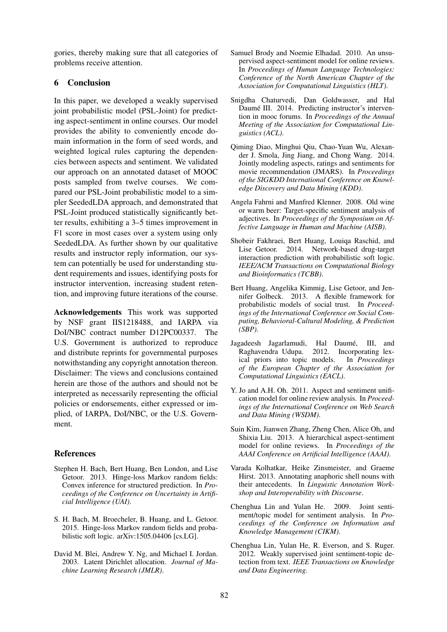gories, thereby making sure that all categories of problems receive attention.

### 6 Conclusion

In this paper, we developed a weakly supervised joint probabilistic model (PSL-Joint) for predicting aspect-sentiment in online courses. Our model provides the ability to conveniently encode domain information in the form of seed words, and weighted logical rules capturing the dependencies between aspects and sentiment. We validated our approach on an annotated dataset of MOOC posts sampled from twelve courses. We compared our PSL-Joint probabilistic model to a simpler SeededLDA approach, and demonstrated that PSL-Joint produced statistically significantly better results, exhibiting a 3–5 times improvement in F1 score in most cases over a system using only SeededLDA. As further shown by our qualitative results and instructor reply information, our system can potentially be used for understanding student requirements and issues, identifying posts for instructor intervention, increasing student retention, and improving future iterations of the course.

Acknowledgements This work was supported by NSF grant IIS1218488, and IARPA via DoI/NBC contract number D12PC00337. The U.S. Government is authorized to reproduce and distribute reprints for governmental purposes notwithstanding any copyright annotation thereon. Disclaimer: The views and conclusions contained herein are those of the authors and should not be interpreted as necessarily representing the official policies or endorsements, either expressed or implied, of IARPA, DoI/NBC, or the U.S. Government.

### References

- Stephen H. Bach, Bert Huang, Ben London, and Lise Getoor. 2013. Hinge-loss Markov random fields: Convex inference for structured prediction. In *Proceedings of the Conference on Uncertainty in Artificial Intelligence (UAI)*.
- S. H. Bach, M. Broecheler, B. Huang, and L. Getoor. 2015. Hinge-loss Markov random fields and probabilistic soft logic. arXiv:1505.04406 [cs.LG].
- David M. Blei, Andrew Y. Ng, and Michael I. Jordan. 2003. Latent Dirichlet allocation. *Journal of Machine Learning Research (JMLR)*.
- Samuel Brody and Noemie Elhadad. 2010. An unsupervised aspect-sentiment model for online reviews. In *Proceedings of Human Language Technologies: Conference of the North American Chapter of the Association for Computational Linguistics (HLT)*.
- Snigdha Chaturvedi, Dan Goldwasser, and Hal Daumé III. 2014. Predicting instructor's intervention in mooc forums. In *Proceedings of the Annual Meeting of the Association for Computational Linguistics (ACL)*.
- Qiming Diao, Minghui Qiu, Chao-Yuan Wu, Alexander J. Smola, Jing Jiang, and Chong Wang. 2014. Jointly modeling aspects, ratings and sentiments for movie recommendation (JMARS). In *Proceedings of the SIGKDD International Conference on Knowledge Discovery and Data Mining (KDD)*.
- Angela Fahrni and Manfred Klenner. 2008. Old wine or warm beer: Target-specific sentiment analysis of adjectives. In *Proceedings of the Symposium on Affective Language in Human and Machine (AISB)*.
- Shobeir Fakhraei, Bert Huang, Louiqa Raschid, and Lise Getoor. 2014. Network-based drug-target interaction prediction with probabilistic soft logic. *IEEE/ACM Transactions on Computational Biology and Bioinformatics (TCBB)*.
- Bert Huang, Angelika Kimmig, Lise Getoor, and Jennifer Golbeck. 2013. A flexible framework for probabilistic models of social trust. In *Proceedings of the International Conference on Social Computing, Behavioral-Cultural Modeling, & Prediction (SBP)*.
- Jagadeesh Jagarlamudi, Hal Daumé, III, and Raghavendra Udupa. 2012. Incorporating lexical priors into topic models. In *Proceedings of the European Chapter of the Association for Computational Linguistics (EACL)*.
- Y. Jo and A.H. Oh. 2011. Aspect and sentiment unification model for online review analysis. In *Proceedings of the International Conference on Web Search and Data Mining (WSDM)*.
- Suin Kim, Jianwen Zhang, Zheng Chen, Alice Oh, and Shixia Liu. 2013. A hierarchical aspect-sentiment model for online reviews. In *Proceedings of the AAAI Conference on Artificial Intelligence (AAAI)*.
- Varada Kolhatkar, Heike Zinsmeister, and Graeme Hirst. 2013. Annotating anaphoric shell nouns with their antecedents. In *Linguistic Annotation Workshop and Interoperability with Discourse*.
- Chenghua Lin and Yulan He. 2009. Joint sentiment/topic model for sentiment analysis. In *Proceedings of the Conference on Information and Knowledge Management (CIKM)*.
- Chenghua Lin, Yulan He, R. Everson, and S. Ruger. 2012. Weakly supervised joint sentiment-topic detection from text. *IEEE Transactions on Knowledge and Data Engineering*.